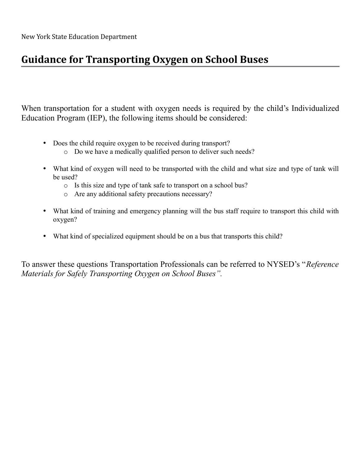# **Guidance for Transporting Oxygen on School Buses**

When transportation for a student with oxygen needs is required by the child's Individualized Education Program (IEP), the following items should be considered:

- Does the child require oxygen to be received during transport?
	- o Do we have a medically qualified person to deliver such needs?
- What kind of oxygen will need to be transported with the child and what size and type of tank will be used?
	- o Is this size and type of tank safe to transport on a school bus?
	- o Are any additional safety precautions necessary?
- What kind of training and emergency planning will the bus staff require to transport this child with oxygen?
- What kind of specialized equipment should be on a bus that transports this child?

To answer these questions Transportation Professionals can be referred to NYSED's "*Reference Materials for Safely Transporting Oxygen on School Buses".*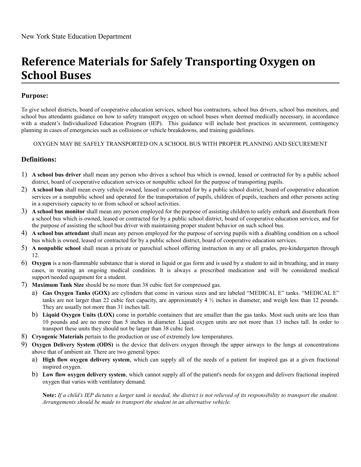# **Reference Materials for Safely Transporting Oxygen on School Buses**

#### **Purpose:**

To give school districts, board of cooperative education services, school bus contractors, school bus drivers, school bus monitors, and school bus attendants guidance on how to safety transport oxygen on school buses when deemed medically necessary, in accordance with a student's Individualized Education Program (IEP). This guidance will include best practices in securement, contingency planning in cases of emergencies such as collisions or vehicle breakdowns, and training guidelines.

OXYGEN MAY BE SAFELY TRANSPORTED ON A SCHOOL BUS WITH PROPER PLANNING AND SECUREMENT

#### **Definitions:**

- 1) **A school bus driver** shall mean any person who drives a school bus which is owned, leased or contracted for by a public school district, board of cooperative education services or nonpublic school for the purpose of transporting pupils.
- 2) **A school bus** shall mean every vehicle owned, leased or contracted for by a public school district, board of cooperative education services or a nonpublic school and operated for the transportation of pupils, children of pupils, teachers and other persons acting in a supervisory capacity to or from school or school activities.
- 3) **A school bus monitor** shall mean any person employed for the purpose of assisting children to safely embark and disembark from a school bus which is owned, leased or contracted for by a public school district, board of cooperative education services, and for the purpose of assisting the school bus driver with maintaining proper student behavior on such school bus.
- 4) **A school bus attendant** shall mean any person employed for the purpose of serving pupils with a disabling condition on a school bus which is owned, leased or contracted for by a public school district, board of cooperative education services.
- 5) **A nonpublic school** shall mean a private or parochial school offering instruction in any or all grades, pre-kindergarten through 12.
- 6) **Oxygen** is a non-flammable substance that is stored in liquid or gas form and is used by a student to aid in breathing, and in many cases, in treating an ongoing medical condition. It is always a prescribed medication and will be considered medical support/needed equipment for a student.
- 7) **Maximum Tank Size** should be no more than 38 cubic feet for compressed gas.
	- a) **Gas Oxygen Tanks (GOX)** are cylinders that come in various sizes and are labeled "MEDICAL E" tanks. "MEDICAL E" tanks are not larger than 22 cubic feet capacity, are approximately  $4\frac{1}{2}$  inches in diameter, and weigh less than 12 pounds. They are usually not more than 31 inches tall.
	- b) **Liquid Oxygen Units (LOX)** come in portable containers that are smaller than the gas tanks. Most such units are less than 10 pounds and are no more than 5 inches in diameter. Liquid oxygen units are not more than 13 inches tall. In order to transport these units they should not be larger than 38 cubic feet.
- 8) **Cryogenic Materials** pertain to the production or use of extremely low temperatures.
- 9) **Oxygen Delivery System (ODS)** is the device that delivers oxygen through the upper airways to the lungs at concentrations above that of ambient air. There are two general types:
	- a) **High flow oxygen delivery system**, which can supply all of the needs of a patient for inspired gas at a given fractional inspired oxygen.
	- b) **Low flow oxygen delivery system**, which cannot supply all of the patient's needs for oxygen and delivers fractional inspired oxygen that varies with ventilatory demand.

**Note:** *If a child's IEP dictates a larger tank is needed, the district is not relieved of its responsibility to transport the student. Arrangements should be made to transport the student in an alternative vehicle.*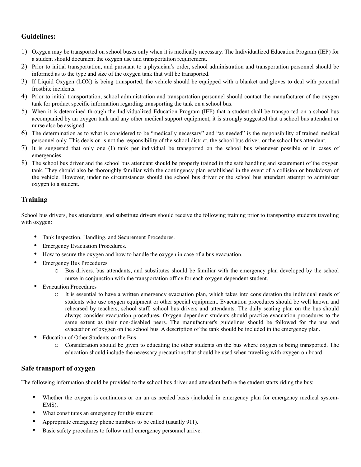#### **Guidelines:**

- 1) Oxygen may be transported on school buses only when it is medically necessary. The Individualized Education Program (IEP) for a student should document the oxygen use and transportation requirement.
- 2) Prior to initial transportation, and pursuant to a physician's order, school administration and transportation personnel should be informed as to the type and size of the oxygen tank that will be transported.
- 3) If Liquid Oxygen (LOX) is being transported, the vehicle should be equipped with a blanket and gloves to deal with potential frostbite incidents.
- 4) Prior to initial transportation, school administration and transportation personnel should contact the manufacturer of the oxygen tank for product specific information regarding transporting the tank on a school bus.
- 5) When it is determined through the Individualized Education Program (IEP) that a student shall be transported on a school bus accompanied by an oxygen tank and any other medical support equipment, it is strongly suggested that a school bus attendant or nurse also be assigned.
- 6) The determination as to what is considered to be "medically necessary" and "as needed" is the responsibility of trained medical personnel only. This decision is not the responsibility of the school district, the school bus driver, or the school bus attendant.
- 7) It is suggested that only one (1) tank per individual be transported on the school bus whenever possible or in cases of emergencies.
- 8) The school bus driver and the school bus attendant should be properly trained in the safe handling and securement of the oxygen tank. They should also be thoroughly familiar with the contingency plan established in the event of a collision or breakdown of the vehicle. However, under no circumstances should the school bus driver or the school bus attendant attempt to administer oxygen to a student.

#### **Training**

School bus drivers, bus attendants, and substitute drivers should receive the following training prior to transporting students traveling with oxygen:

- Tank Inspection, Handling, and Securement Procedures.
- Emergency Evacuation Procedures.
- How to secure the oxygen and how to handle the oxygen in case of a bus evacuation.
- **Emergency Bus Procedures** 
	- o Bus drivers, bus attendants, and substitutes should be familiar with the emergency plan developed by the school nurse in conjunction with the transportation office for each oxygen dependent student.
- **Evacuation Procedures** 
	- o It is essential to have a written emergency evacuation plan, which takes into consideration the individual needs of students who use oxygen equipment or other special equipment. Evacuation procedures should be well known and rehearsed by teachers, school staff, school bus drivers and attendants. The daily seating plan on the bus should always consider evacuation procedures**.** Oxygen dependent students should practice evacuation procedures to the same extent as their non-disabled peers. The manufacturer's guidelines should be followed for the use and evacuation of oxygen on the school bus. A description of the tank should be included in the emergency plan.
- Education of Other Students on the Bus
	- o Consideration should be given to educating the other students on the bus where oxygen is being transported. The education should include the necessary precautions that should be used when traveling with oxygen on board

#### **Safe transport of oxygen**

The following information should be provided to the school bus driver and attendant before the student starts riding the bus:

- Whether the oxygen is continuous or on an as needed basis (included in emergency plan for emergency medical system-EMS).
- What constitutes an emergency for this student
- Appropriate emergency phone numbers to be called (usually 911).
- Basic safety procedures to follow until emergency personnel arrive.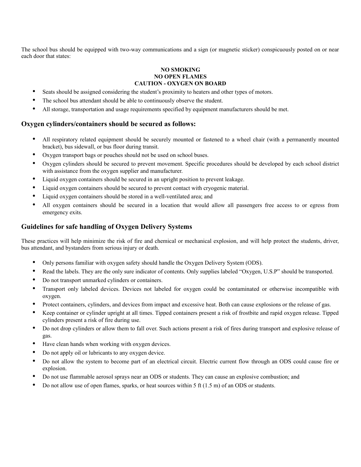The school bus should be equipped with two-way communications and a sign (or magnetic sticker) conspicuously posted on or near each door that states:

#### **NO SMOKING NO OPEN FLAMES CAUTION - OXYGEN ON BOARD**

- Seats should be assigned considering the student's proximity to heaters and other types of motors.
- The school bus attendant should be able to continuously observe the student.
- All storage, transportation and usage requirements specified by equipment manufacturers should be met.

#### **Oxygen cylinders/containers should be secured as follows:**

- All respiratory related equipment should be securely mounted or fastened to a wheel chair (with a permanently mounted bracket), bus sidewall, or bus floor during transit.
- Oxygen transport bags or pouches should not be used on school buses.
- Oxygen cylinders should be secured to prevent movement. Specific procedures should be developed by each school district with assistance from the oxygen supplier and manufacturer.
- Liquid oxygen containers should be secured in an upright position to prevent leakage.
- Liquid oxygen containers should be secured to prevent contact with cryogenic material.
- Liquid oxygen containers should be stored in a well-ventilated area; and
- All oxygen containers should be secured in a location that would allow all passengers free access to or egress from emergency exits.

#### **Guidelines for safe handling of Oxygen Delivery Systems**

These practices will help minimize the risk of fire and chemical or mechanical explosion, and will help protect the students, driver, bus attendant, and bystanders from serious injury or death.

- Only persons familiar with oxygen safety should handle the Oxygen Delivery System (ODS).
- Read the labels. They are the only sure indicator of contents. Only supplies labeled "Oxygen, U.S.P" should be transported.
- Do not transport unmarked cylinders or containers.
- Transport only labeled devices. Devices not labeled for oxygen could be contaminated or otherwise incompatible with oxygen.
- Protect containers, cylinders, and devices from impact and excessive heat. Both can cause explosions or the release of gas.
- Keep container or cylinder upright at all times. Tipped containers present a risk of frostbite and rapid oxygen release. Tipped cylinders present a risk of fire during use.
- Do not drop cylinders or allow them to fall over. Such actions present a risk of fires during transport and explosive release of gas.
- Have clean hands when working with oxygen devices.
- Do not apply oil or lubricants to any oxygen device.
- Do not allow the system to become part of an electrical circuit. Electric current flow through an ODS could cause fire or explosion.
- Do not use flammable aerosol sprays near an ODS or students. They can cause an explosive combustion; and
- Do not allow use of open flames, sparks, or heat sources within 5 ft (1.5 m) of an ODS or students.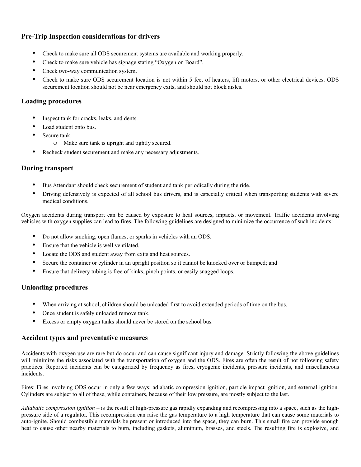#### **Pre-Trip Inspection considerations for drivers**

- Check to make sure all ODS securement systems are available and working properly.
- Check to make sure vehicle has signage stating "Oxygen on Board".
- Check two-way communication system.
- Check to make sure ODS securement location is not within 5 feet of heaters, lift motors, or other electrical devices. ODS securement location should not be near emergency exits, and should not block aisles.

#### **Loading procedures**

- Inspect tank for cracks, leaks, and dents.
- Load student onto bus.
- Secure tank.
	- o Make sure tank is upright and tightly secured.
- Recheck student securement and make any necessary adjustments.

#### **During transport**

- Bus Attendant should check securement of student and tank periodically during the ride.
- Driving defensively is expected of all school bus drivers, and is especially critical when transporting students with severe medical conditions.

Oxygen accidents during transport can be caused by exposure to heat sources, impacts, or movement. Traffic accidents involving vehicles with oxygen supplies can lead to fires. The following guidelines are designed to minimize the occurrence of such incidents:

- Do not allow smoking, open flames, or sparks in vehicles with an ODS.
- Ensure that the vehicle is well ventilated.
- Locate the ODS and student away from exits and heat sources.
- Secure the container or cylinder in an upright position so it cannot be knocked over or bumped; and
- Ensure that delivery tubing is free of kinks, pinch points, or easily snagged loops.

#### **Unloading procedures**

- When arriving at school, children should be unloaded first to avoid extended periods of time on the bus.
- Once student is safely unloaded remove tank.
- Excess or empty oxygen tanks should never be stored on the school bus.

#### **Accident types and preventative measures**

Accidents with oxygen use are rare but do occur and can cause significant injury and damage. Strictly following the above guidelines will minimize the risks associated with the transportation of oxygen and the ODS. Fires are often the result of not following safety practices. Reported incidents can be categorized by frequency as fires, cryogenic incidents, pressure incidents, and miscellaneous incidents.

Fires: Fires involving ODS occur in only a few ways; adiabatic compression ignition, particle impact ignition, and external ignition. Cylinders are subject to all of these, while containers, because of their low pressure, are mostly subject to the last.

*Adiabatic compression ignition* – is the result of high-pressure gas rapidly expanding and recompressing into a space, such as the highpressure side of a regulator. This recompression can raise the gas temperature to a high temperature that can cause some materials to auto-ignite. Should combustible materials be present or introduced into the space, they can burn. This small fire can provide enough heat to cause other nearby materials to burn, including gaskets, aluminum, brasses, and steels. The resulting fire is explosive, and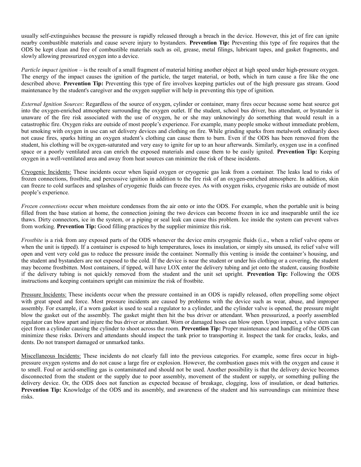usually self-extinguishes because the pressure is rapidly released through a breach in the device. However, this jet of fire can ignite nearby combustible materials and cause severe injury to bystanders. **Prevention Tip:** Preventing this type of fire requires that the ODS be kept clean and free of combustible materials such as oil, grease, metal filings, lubricant tapes, and gasket fragments, and slowly allowing pressurized oxygen into a device.

*Particle impact ignition* – is the result of a small fragment of material hitting another object at high speed under high-pressure oxygen. The energy of the impact causes the ignition of the particle, the target material, or both, which in turn cause a fire like the one described above. **Prevention Tip:** Preventing this type of fire involves keeping particles out of the high pressure gas stream. Good maintenance by the student's caregiver and the oxygen supplier will help in preventing this type of ignition.

*External Ignition Sources*: Regardless of the source of oxygen, cylinder or container, many fires occur because some heat source got into the oxygen-enriched atmosphere surrounding the oxygen outlet. If the student, school bus driver, bus attendant, or bystander is unaware of the fire risk associated with the use of oxygen, he or she may unknowingly do something that would result in a catastrophic fire. Oxygen risks are outside of most people's experience. For example, many people smoke without immediate problem, but smoking with oxygen in use can set delivery devices and clothing on fire. While grinding sparks from metalwork ordinarily does not cause fires, sparks hitting an oxygen student's clothing can cause them to burn. Even if the ODS has been removed from the student, his clothing will be oxygen-saturated and very easy to ignite for up to an hour afterwards. Similarly, oxygen use in a confined space or a poorly ventilated area can enrich the exposed materials and cause them to be easily ignited. **Prevention Tip:** Keeping oxygen in a well-ventilated area and away from heat sources can minimize the risk of these incidents.

Cryogenic Incidents: These incidents occur when liquid oxygen or cryogenic gas leak from a container. The leaks lead to risks of frozen connections, frostbite, and percussive ignition in addition to the fire risk of an oxygen-enriched atmosphere. In addition, skin can freeze to cold surfaces and splashes of cryogenic fluids can freeze eyes. As with oxygen risks, cryogenic risks are outside of most people's experience.

*Frozen connections* occur when moisture condenses from the air onto or into the ODS. For example, when the portable unit is being filled from the base station at home, the connection joining the two devices can become frozen in ice and inseparable until the ice thaws. Dirty connectors, ice in the system, or a piping or seal leak can cause this problem. Ice inside the system can prevent valves from working. **Prevention Tip:** Good filling practices by the supplier minimize this risk.

*Frostbite* is a risk from any exposed parts of the ODS whenever the device emits cryogenic fluids (i.e., when a relief valve opens or when the unit is tipped). If a container is exposed to high temperatures, loses its insulation, or simply sits unused, its relief valve will open and vent very cold gas to reduce the pressure inside the container. Normally this venting is inside the container's housing, and the student and bystanders are not exposed to the cold. If the device is near the student or under his clothing or a covering, the student may become frostbitten. Most containers, if tipped, will have LOX enter the delivery tubing and jet onto the student, causing frostbite if the delivery tubing is not quickly removed from the student and the unit set upright. **Prevention Tip:** Following the ODS instructions and keeping containers upright can minimize the risk of frostbite.

Pressure Incidents: These incidents occur when the pressure contained in an ODS is rapidly released, often propelling some object with great speed and force. Most pressure incidents are caused by problems with the device such as wear, abuse, and improper assembly. For example, if a worn gasket is used to seal a regulator to a cylinder, and the cylinder valve is opened, the pressure might blow the gasket out of the assembly. The gasket might then hit the bus driver or attendant. When pressurized, a poorly assembled regulator can blow apart and injure the bus driver or attendant. Worn or damaged hoses can blow open. Upon impact, a valve stem can eject from a cylinder causing the cylinder to shoot across the room. **Prevention Tip:** Proper maintenance and handling of the ODS can minimize these risks. Drivers and attendants should inspect the tank prior to transporting it. Inspect the tank for cracks, leaks, and dents. Do not transport damaged or unmarked tanks.

Miscellaneous Incidents: These incidents do not clearly fall into the previous categories. For example, some fires occur in highpressure oxygen systems and do not cause a large fire or explosion. However, the combustion gases mix with the oxygen and cause it to smell. Foul or acrid-smelling gas is contaminated and should not be used. Another possibility is that the delivery device becomes disconnected from the student or the supply due to poor assembly, movement of the student or supply, or something pulling the delivery device. Or, the ODS does not function as expected because of breakage, clogging, loss of insulation, or dead batteries. **Prevention Tip:** Knowledge of the ODS and its assembly, and awareness of the student and his surroundings can minimize these risks.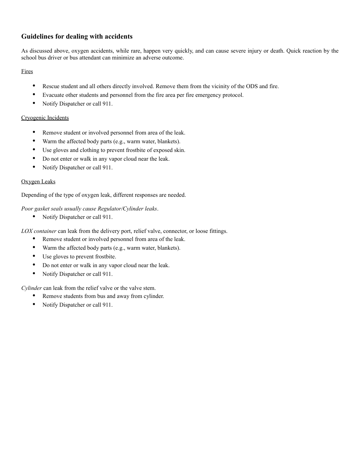#### **Guidelines for dealing with accidents**

As discussed above, oxygen accidents, while rare, happen very quickly, and can cause severe injury or death. Quick reaction by the school bus driver or bus attendant can minimize an adverse outcome.

Fires

- Rescue student and all others directly involved. Remove them from the vicinity of the ODS and fire.
- Evacuate other students and personnel from the fire area per fire emergency protocol.
- Notify Dispatcher or call 911.

#### Cryogenic Incidents

- Remove student or involved personnel from area of the leak.
- Warm the affected body parts (e.g., warm water, blankets).
- Use gloves and clothing to prevent frostbite of exposed skin.
- Do not enter or walk in any vapor cloud near the leak.
- Notify Dispatcher or call 911.

#### Oxygen Leaks

Depending of the type of oxygen leak, different responses are needed.

*Poor gasket seals usually cause Regulator/Cylinder leaks*.

• Notify Dispatcher or call 911.

*LOX container* can leak from the delivery port, relief valve, connector, or loose fittings.

- Remove student or involved personnel from area of the leak.
- Warm the affected body parts (e.g., warm water, blankets).
- Use gloves to prevent frostbite.
- Do not enter or walk in any vapor cloud near the leak.
- Notify Dispatcher or call 911.

*Cylinder* can leak from the relief valve or the valve stem.

- Remove students from bus and away from cylinder.
- Notify Dispatcher or call 911.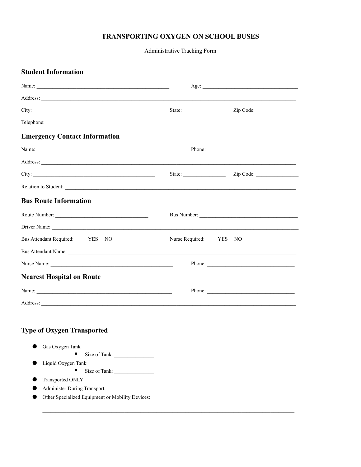#### TRANSPORTING OXYGEN ON SCHOOL BUSES

Administrative Tracking Form

| <b>Student Information</b>                                                                                                                                                                                                     |                 |                         |
|--------------------------------------------------------------------------------------------------------------------------------------------------------------------------------------------------------------------------------|-----------------|-------------------------|
|                                                                                                                                                                                                                                | Age:            |                         |
|                                                                                                                                                                                                                                |                 |                         |
|                                                                                                                                                                                                                                |                 |                         |
|                                                                                                                                                                                                                                |                 |                         |
| <b>Emergency Contact Information</b>                                                                                                                                                                                           |                 |                         |
|                                                                                                                                                                                                                                | Phone:          |                         |
|                                                                                                                                                                                                                                |                 |                         |
|                                                                                                                                                                                                                                |                 | State: <u>Zip Code:</u> |
| Relation to Student:                                                                                                                                                                                                           |                 |                         |
| <b>Bus Route Information</b>                                                                                                                                                                                                   |                 |                         |
| Route Number:                                                                                                                                                                                                                  |                 |                         |
|                                                                                                                                                                                                                                |                 |                         |
| Bus Attendant Required: YES<br>NO.                                                                                                                                                                                             | Nurse Required: | YES<br>NO               |
| Bus Attendant Name: Name and South Assembly and South Assembly and South Assembly and South Assembly and South Assembly and South Assembly and South Assembly and South Assembly and Assembly and Assembly and Assembly and As |                 |                         |
|                                                                                                                                                                                                                                |                 | Phone:                  |
| <b>Nearest Hospital on Route</b>                                                                                                                                                                                               |                 |                         |
| Name:                                                                                                                                                                                                                          |                 | Phone:                  |
|                                                                                                                                                                                                                                |                 |                         |
| <b>Type of Oxygen Transported</b>                                                                                                                                                                                              |                 |                         |
| Gas Oxygen Tank                                                                                                                                                                                                                |                 |                         |
| Size of Tank:                                                                                                                                                                                                                  |                 |                         |
| Liquid Oxygen Tank                                                                                                                                                                                                             |                 |                         |
| Transported ONLY                                                                                                                                                                                                               |                 |                         |
| <b>Administer During Transport</b>                                                                                                                                                                                             |                 |                         |
| Other Specialized Equipment or Mobility Devices:                                                                                                                                                                               |                 |                         |
|                                                                                                                                                                                                                                |                 |                         |